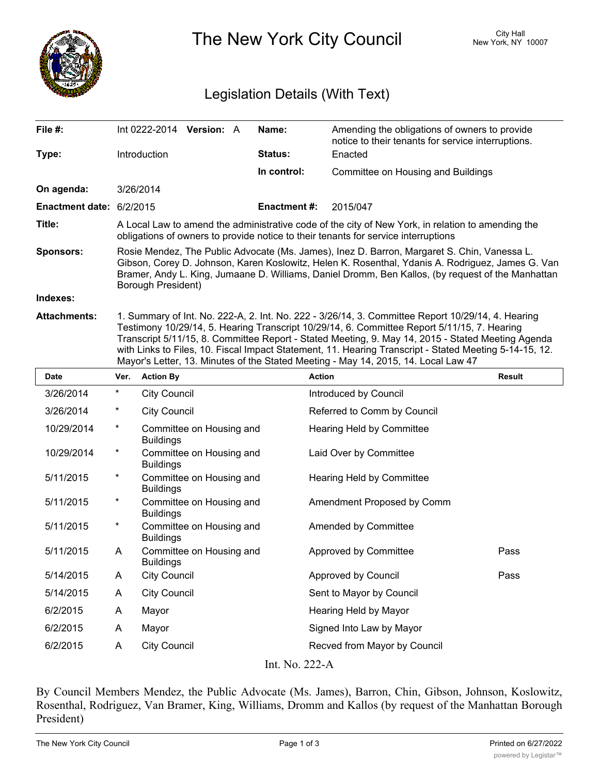

The New York City Council New York, NY 10007

## Legislation Details (With Text)

| File #:                  | Int $0222-2014$ Version: A                                                                                                                                                                                                                                                                                                                                                                                      |  |  | Name:               | Amending the obligations of owners to provide<br>notice to their tenants for service interruptions. |  |  |
|--------------------------|-----------------------------------------------------------------------------------------------------------------------------------------------------------------------------------------------------------------------------------------------------------------------------------------------------------------------------------------------------------------------------------------------------------------|--|--|---------------------|-----------------------------------------------------------------------------------------------------|--|--|
| Type:                    | <b>Introduction</b>                                                                                                                                                                                                                                                                                                                                                                                             |  |  | <b>Status:</b>      | Enacted                                                                                             |  |  |
|                          |                                                                                                                                                                                                                                                                                                                                                                                                                 |  |  | In control:         | Committee on Housing and Buildings                                                                  |  |  |
| On agenda:               | 3/26/2014                                                                                                                                                                                                                                                                                                                                                                                                       |  |  |                     |                                                                                                     |  |  |
| Enactment date: 6/2/2015 |                                                                                                                                                                                                                                                                                                                                                                                                                 |  |  | <b>Enactment #:</b> | 2015/047                                                                                            |  |  |
| Title:                   | A Local Law to amend the administrative code of the city of New York, in relation to amending the<br>obligations of owners to provide notice to their tenants for service interruptions                                                                                                                                                                                                                         |  |  |                     |                                                                                                     |  |  |
| <b>Sponsors:</b>         | Rosie Mendez, The Public Advocate (Ms. James), Inez D. Barron, Margaret S. Chin, Vanessa L.<br>Gibson, Corey D. Johnson, Karen Koslowitz, Helen K. Rosenthal, Ydanis A. Rodriguez, James G. Van<br>Bramer, Andy L. King, Jumaane D. Williams, Daniel Dromm, Ben Kallos, (by request of the Manhattan<br>Borough President)                                                                                      |  |  |                     |                                                                                                     |  |  |
| Indexes:                 |                                                                                                                                                                                                                                                                                                                                                                                                                 |  |  |                     |                                                                                                     |  |  |
| <b>Attachments:</b>      | 1. Summary of Int. No. 222-A, 2. Int. No. 222 - 3/26/14, 3. Committee Report 10/29/14, 4. Hearing<br>Testimony 10/29/14, 5. Hearing Transcript 10/29/14, 6. Committee Report 5/11/15, 7. Hearing<br>Transcript 5/11/15, 8. Committee Report - Stated Meeting, 9. May 14, 2015 - Stated Meeting Agenda<br>with Links to Files, 10. Fiscal Impact Statement, 11. Hearing Transcript - Stated Meeting 5-14-15, 12. |  |  |                     |                                                                                                     |  |  |

|                                      |            | Mayor's Letter, 13. Minutes of the Stated Meeting - May 14, 2015, 14. Local Law 47 |                              |               |  |  |  |  |  |
|--------------------------------------|------------|------------------------------------------------------------------------------------|------------------------------|---------------|--|--|--|--|--|
| <b>Date</b>                          | Ver.       | <b>Action By</b>                                                                   | <b>Action</b>                | <b>Result</b> |  |  |  |  |  |
| 3/26/2014                            | $^{\star}$ | <b>City Council</b>                                                                | Introduced by Council        |               |  |  |  |  |  |
| 3/26/2014                            | *          | <b>City Council</b>                                                                | Referred to Comm by Council  |               |  |  |  |  |  |
| 10/29/2014                           | $^{\star}$ | Committee on Housing and<br><b>Buildings</b>                                       | Hearing Held by Committee    |               |  |  |  |  |  |
| 10/29/2014                           | $\star$    | Committee on Housing and<br><b>Buildings</b>                                       | Laid Over by Committee       |               |  |  |  |  |  |
| 5/11/2015                            | $^{\star}$ | Committee on Housing and<br><b>Buildings</b>                                       | Hearing Held by Committee    |               |  |  |  |  |  |
| 5/11/2015                            | $^{\star}$ | Committee on Housing and<br><b>Buildings</b>                                       | Amendment Proposed by Comm   |               |  |  |  |  |  |
| 5/11/2015                            | $^\star$   | Committee on Housing and<br><b>Buildings</b>                                       | Amended by Committee         |               |  |  |  |  |  |
| 5/11/2015                            | A          | Committee on Housing and<br><b>Buildings</b>                                       | Approved by Committee        | Pass          |  |  |  |  |  |
| 5/14/2015                            | A          | <b>City Council</b>                                                                | Approved by Council          | Pass          |  |  |  |  |  |
| 5/14/2015                            | A          | <b>City Council</b>                                                                | Sent to Mayor by Council     |               |  |  |  |  |  |
| 6/2/2015                             | A          | Mayor                                                                              | Hearing Held by Mayor        |               |  |  |  |  |  |
| 6/2/2015                             | A          | Mayor                                                                              | Signed Into Law by Mayor     |               |  |  |  |  |  |
| 6/2/2015                             | A          | <b>City Council</b>                                                                | Recved from Mayor by Council |               |  |  |  |  |  |
| $\sim$ $\sim$ $\sim$<br><b>T. NT</b> |            |                                                                                    |                              |               |  |  |  |  |  |

Int. No. 222-A

By Council Members Mendez, the Public Advocate (Ms. James), Barron, Chin, Gibson, Johnson, Koslowitz, Rosenthal, Rodriguez, Van Bramer, King, Williams, Dromm and Kallos (by request of the Manhattan Borough President)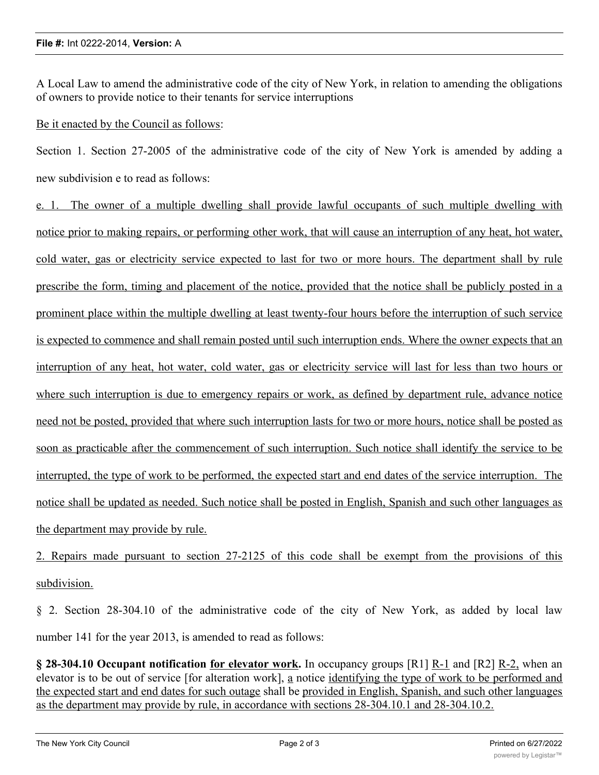A Local Law to amend the administrative code of the city of New York, in relation to amending the obligations of owners to provide notice to their tenants for service interruptions

Be it enacted by the Council as follows:

Section 1. Section 27-2005 of the administrative code of the city of New York is amended by adding a new subdivision e to read as follows:

e. 1. The owner of a multiple dwelling shall provide lawful occupants of such multiple dwelling with notice prior to making repairs, or performing other work, that will cause an interruption of any heat, hot water, cold water, gas or electricity service expected to last for two or more hours. The department shall by rule prescribe the form, timing and placement of the notice, provided that the notice shall be publicly posted in a prominent place within the multiple dwelling at least twenty-four hours before the interruption of such service is expected to commence and shall remain posted until such interruption ends. Where the owner expects that an interruption of any heat, hot water, cold water, gas or electricity service will last for less than two hours or where such interruption is due to emergency repairs or work, as defined by department rule, advance notice need not be posted, provided that where such interruption lasts for two or more hours, notice shall be posted as soon as practicable after the commencement of such interruption. Such notice shall identify the service to be interrupted, the type of work to be performed, the expected start and end dates of the service interruption. The notice shall be updated as needed. Such notice shall be posted in English, Spanish and such other languages as the department may provide by rule.

2. Repairs made pursuant to section 27-2125 of this code shall be exempt from the provisions of this subdivision.

§ 2. Section 28-304.10 of the administrative code of the city of New York, as added by local law number 141 for the year 2013, is amended to read as follows:

**§ 28-304.10 Occupant notification for elevator work.** In occupancy groups [R1] R-1 and [R2] R-2, when an elevator is to be out of service [for alteration work], a notice identifying the type of work to be performed and the expected start and end dates for such outage shall be provided in English, Spanish, and such other languages as the department may provide by rule, in accordance with sections 28-304.10.1 and 28-304.10.2.

**§ 28-304.10.1 Occupant notification for alteration work.** When an elevator is to be out of service for